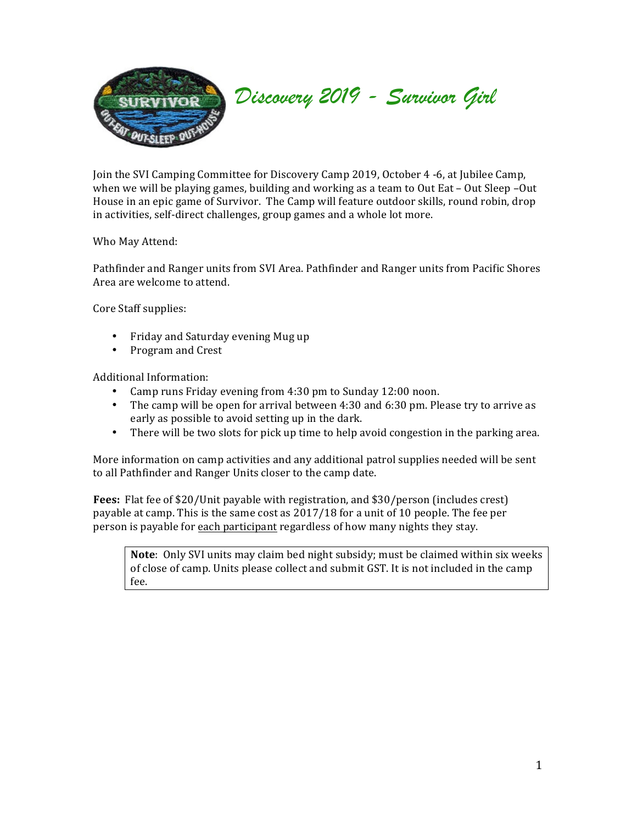

*Discovery 2019 - Survivor Girl*

Join the SVI Camping Committee for Discovery Camp 2019, October 4 -6, at Jubilee Camp, when we will be playing games, building and working as a team to Out Eat – Out Sleep –Out House in an epic game of Survivor. The Camp will feature outdoor skills, round robin, drop in activities, self-direct challenges, group games and a whole lot more.

Who May Attend:

Pathfinder and Ranger units from SVI Area. Pathfinder and Ranger units from Pacific Shores Area are welcome to attend.

Core Staff supplies:

- Friday and Saturday evening Mug up
- Program and Crest

Additional Information:

- Camp runs Friday evening from 4:30 pm to Sunday 12:00 noon.
- The camp will be open for arrival between  $4:30$  and  $6:30$  pm. Please try to arrive as early as possible to avoid setting up in the dark.
- There will be two slots for pick up time to help avoid congestion in the parking area.

More information on camp activities and any additional patrol supplies needed will be sent to all Pathfinder and Ranger Units closer to the camp date.

**Fees:** Flat fee of \$20/Unit payable with registration, and \$30/person (includes crest) payable at camp. This is the same cost as  $2017/18$  for a unit of 10 people. The fee per person is payable for each participant regardless of how many nights they stay.

**Note**: Only SVI units may claim bed night subsidy; must be claimed within six weeks of close of camp. Units please collect and submit GST. It is not included in the camp fee.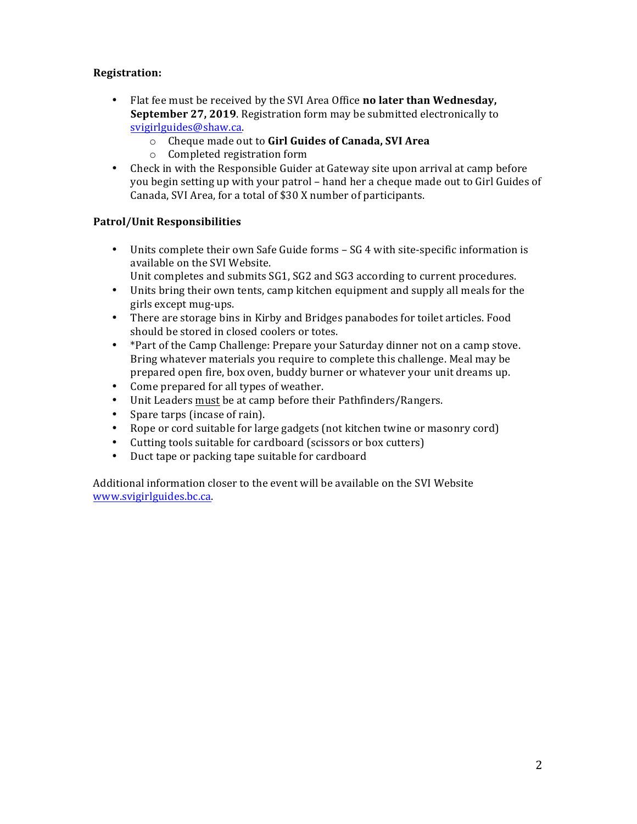## **Registration:(**

- Flat fee must be received by the SVI Area Office **no later than Wednesday, September 27, 2019**. Registration form may be submitted electronically to svigirlguides@shaw.ca.
	- o Cheque!made!out!to!**Girl(Guides(of(Canada,(SVI(Area**
	- o Completed registration form
- Check in with the Responsible Guider at Gateway site upon arrival at camp before you begin setting up with your patrol – hand her a cheque made out to Girl Guides of Canada, SVI Area, for a total of \$30 X number of participants.

## **Patrol/Unit Responsibilities**

- Units complete their own Safe Guide forms  $SG$  4 with site-specific information is available on the SVI Website.
	- Unit completes and submits SG1, SG2 and SG3 according to current procedures.
- Units bring their own tents, camp kitchen equipment and supply all meals for the girls except mug-ups.
- There are storage bins in Kirby and Bridges panabodes for toilet articles. Food should be stored in closed coolers or totes.
- \* Part of the Camp Challenge: Prepare your Saturday dinner not on a camp stove. Bring whatever materials you require to complete this challenge. Meal may be prepared open fire, box oven, buddy burner or whatever your unit dreams up.
- Come prepared for all types of weather.
- Unit Leaders must be at camp before their Pathfinders/Rangers.
- Spare tarps (incase of rain).
- Rope or cord suitable for large gadgets (not kitchen twine or masonry cord)
- Cutting tools suitable for cardboard (scissors or box cutters)
- Duct tape or packing tape suitable for cardboard

Additional information closer to the event will be available on the SVI Website www.svigirlguides.bc.ca.